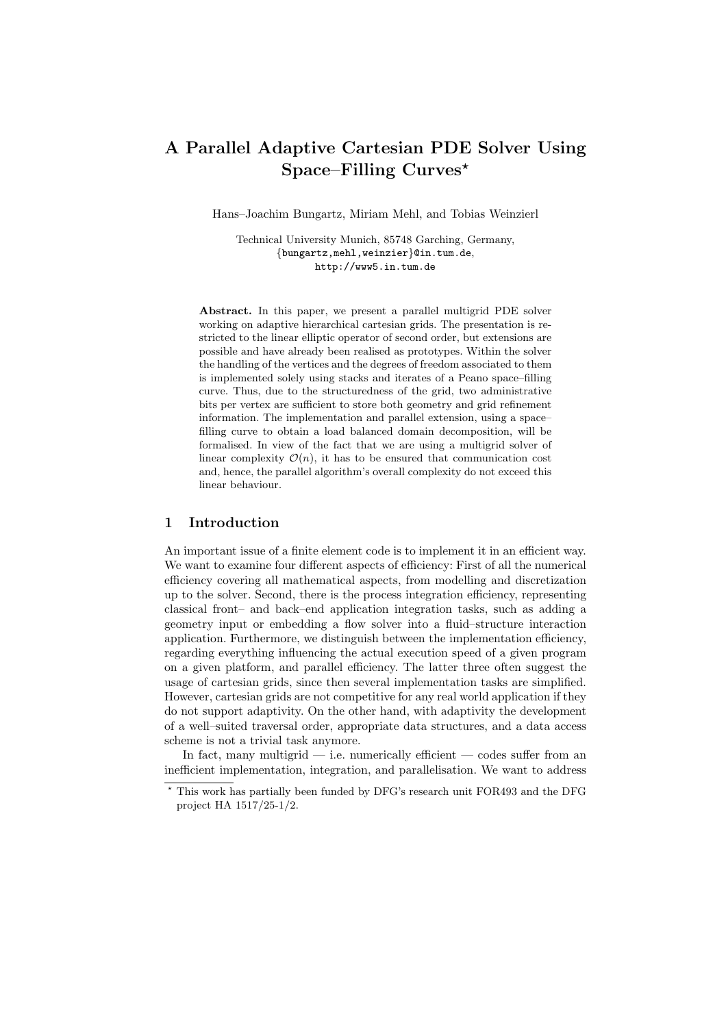# A Parallel Adaptive Cartesian PDE Solver Using Space–Filling  $Curves^{\star}$

Hans–Joachim Bungartz, Miriam Mehl, and Tobias Weinzierl

Technical University Munich, 85748 Garching, Germany, {bungartz,mehl,weinzier}@in.tum.de, http://www5.in.tum.de

Abstract. In this paper, we present a parallel multigrid PDE solver working on adaptive hierarchical cartesian grids. The presentation is restricted to the linear elliptic operator of second order, but extensions are possible and have already been realised as prototypes. Within the solver the handling of the vertices and the degrees of freedom associated to them is implemented solely using stacks and iterates of a Peano space–filling curve. Thus, due to the structuredness of the grid, two administrative bits per vertex are sufficient to store both geometry and grid refinement information. The implementation and parallel extension, using a space– filling curve to obtain a load balanced domain decomposition, will be formalised. In view of the fact that we are using a multigrid solver of linear complexity  $\mathcal{O}(n)$ , it has to be ensured that communication cost and, hence, the parallel algorithm's overall complexity do not exceed this linear behaviour.

#### 1 Introduction

An important issue of a finite element code is to implement it in an efficient way. We want to examine four different aspects of efficiency: First of all the numerical efficiency covering all mathematical aspects, from modelling and discretization up to the solver. Second, there is the process integration efficiency, representing classical front– and back–end application integration tasks, such as adding a geometry input or embedding a flow solver into a fluid–structure interaction application. Furthermore, we distinguish between the implementation efficiency, regarding everything influencing the actual execution speed of a given program on a given platform, and parallel efficiency. The latter three often suggest the usage of cartesian grids, since then several implementation tasks are simplified. However, cartesian grids are not competitive for any real world application if they do not support adaptivity. On the other hand, with adaptivity the development of a well–suited traversal order, appropriate data structures, and a data access scheme is not a trivial task anymore.

In fact, many multigrid  $-$  i.e. numerically efficient  $-$  codes suffer from an inefficient implementation, integration, and parallelisation. We want to address

<sup>?</sup> This work has partially been funded by DFG's research unit FOR493 and the DFG project HA 1517/25-1/2.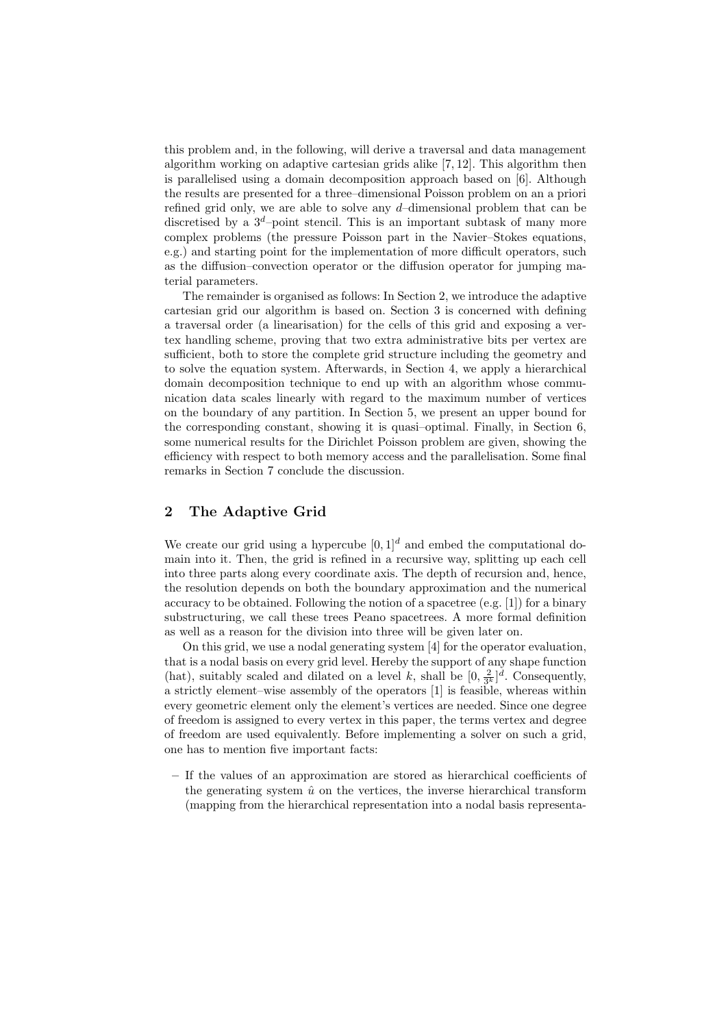this problem and, in the following, will derive a traversal and data management algorithm working on adaptive cartesian grids alike [7, 12]. This algorithm then is parallelised using a domain decomposition approach based on [6]. Although the results are presented for a three–dimensional Poisson problem on an a priori refined grid only, we are able to solve any  $d$ -dimensional problem that can be discretised by a  $3^d$ -point stencil. This is an important subtask of many more complex problems (the pressure Poisson part in the Navier–Stokes equations, e.g.) and starting point for the implementation of more difficult operators, such as the diffusion–convection operator or the diffusion operator for jumping material parameters.

The remainder is organised as follows: In Section 2, we introduce the adaptive cartesian grid our algorithm is based on. Section 3 is concerned with defining a traversal order (a linearisation) for the cells of this grid and exposing a vertex handling scheme, proving that two extra administrative bits per vertex are sufficient, both to store the complete grid structure including the geometry and to solve the equation system. Afterwards, in Section 4, we apply a hierarchical domain decomposition technique to end up with an algorithm whose communication data scales linearly with regard to the maximum number of vertices on the boundary of any partition. In Section 5, we present an upper bound for the corresponding constant, showing it is quasi–optimal. Finally, in Section 6, some numerical results for the Dirichlet Poisson problem are given, showing the efficiency with respect to both memory access and the parallelisation. Some final remarks in Section 7 conclude the discussion.

## 2 The Adaptive Grid

We create our grid using a hypercube  $[0, 1]^d$  and embed the computational domain into it. Then, the grid is refined in a recursive way, splitting up each cell into three parts along every coordinate axis. The depth of recursion and, hence, the resolution depends on both the boundary approximation and the numerical accuracy to be obtained. Following the notion of a spacetree (e.g. [1]) for a binary substructuring, we call these trees Peano spacetrees. A more formal definition as well as a reason for the division into three will be given later on.

On this grid, we use a nodal generating system [4] for the operator evaluation, that is a nodal basis on every grid level. Hereby the support of any shape function (hat), suitably scaled and dilated on a level k, shall be  $[0, \frac{2}{3^k}]^d$ . Consequently, a strictly element–wise assembly of the operators [1] is feasible, whereas within every geometric element only the element's vertices are needed. Since one degree of freedom is assigned to every vertex in this paper, the terms vertex and degree of freedom are used equivalently. Before implementing a solver on such a grid, one has to mention five important facts:

– If the values of an approximation are stored as hierarchical coefficients of the generating system  $\hat{u}$  on the vertices, the inverse hierarchical transform (mapping from the hierarchical representation into a nodal basis representa-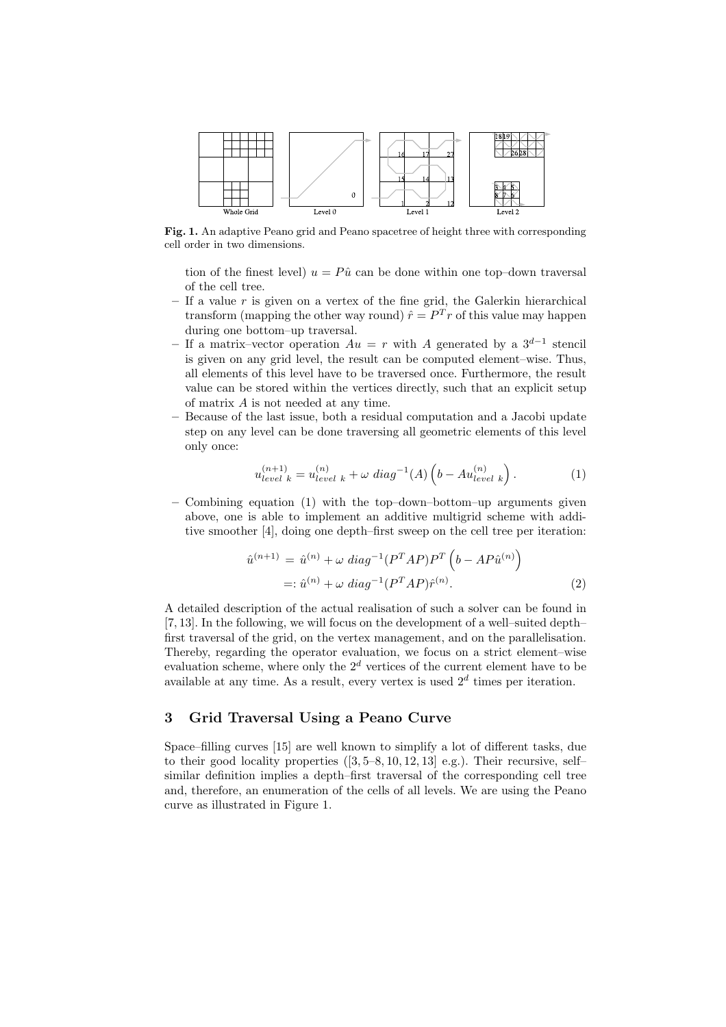

Fig. 1. An adaptive Peano grid and Peano spacetree of height three with corresponding cell order in two dimensions.

tion of the finest level)  $u = P\hat{u}$  can be done within one top–down traversal of the cell tree.

- If a value  $r$  is given on a vertex of the fine grid, the Galerkin hierarchical transform (mapping the other way round)  $\hat{r} = P^{T} r$  of this value may happen during one bottom–up traversal.
- If a matrix–vector operation  $Au = r$  with A generated by a  $3^{d-1}$  stencil is given on any grid level, the result can be computed element–wise. Thus, all elements of this level have to be traversed once. Furthermore, the result value can be stored within the vertices directly, such that an explicit setup of matrix A is not needed at any time.
- Because of the last issue, both a residual computation and a Jacobi update step on any level can be done traversing all geometric elements of this level only once:

$$
u_{level\ k}^{(n+1)} = u_{level\ k}^{(n)} + \omega\ diag^{-1}(A)\left(b - Au_{level\ k}^{(n)}\right). \tag{1}
$$

 $-$  Combining equation (1) with the top-down–bottom–up arguments given above, one is able to implement an additive multigrid scheme with additive smoother [4], doing one depth–first sweep on the cell tree per iteration:

$$
\hat{u}^{(n+1)} = \hat{u}^{(n)} + \omega \ diag^{-1} (P^T A P) P^T \left( b - A P \hat{u}^{(n)} \right)
$$
  
=:  $\hat{u}^{(n)} + \omega \ diag^{-1} (P^T A P) \hat{r}^{(n)}$ . (2)

A detailed description of the actual realisation of such a solver can be found in [7, 13]. In the following, we will focus on the development of a well–suited depth– first traversal of the grid, on the vertex management, and on the parallelisation. Thereby, regarding the operator evaluation, we focus on a strict element–wise evaluation scheme, where only the  $2^d$  vertices of the current element have to be available at any time. As a result, every vertex is used  $2<sup>d</sup>$  times per iteration.

#### 3 Grid Traversal Using a Peano Curve

Space–filling curves [15] are well known to simplify a lot of different tasks, due to their good locality properties  $(3, 5-8, 10, 12, 13]$  e.g.). Their recursive, selfsimilar definition implies a depth–first traversal of the corresponding cell tree and, therefore, an enumeration of the cells of all levels. We are using the Peano curve as illustrated in Figure 1.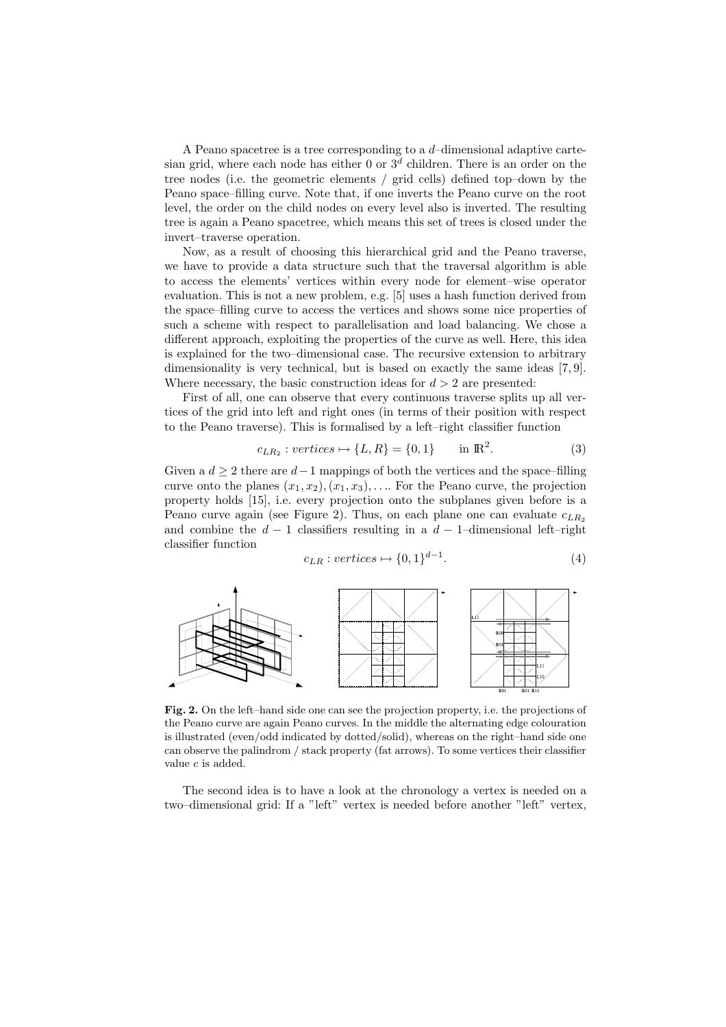A Peano spacetree is a tree corresponding to a d–dimensional adaptive cartesian grid, where each node has either 0 or  $3<sup>d</sup>$  children. There is an order on the tree nodes (i.e. the geometric elements / grid cells) defined top–down by the Peano space–filling curve. Note that, if one inverts the Peano curve on the root level, the order on the child nodes on every level also is inverted. The resulting tree is again a Peano spacetree, which means this set of trees is closed under the invert–traverse operation.

Now, as a result of choosing this hierarchical grid and the Peano traverse, we have to provide a data structure such that the traversal algorithm is able to access the elements' vertices within every node for element–wise operator evaluation. This is not a new problem, e.g. [5] uses a hash function derived from the space–filling curve to access the vertices and shows some nice properties of such a scheme with respect to parallelisation and load balancing. We chose a different approach, exploiting the properties of the curve as well. Here, this idea is explained for the two–dimensional case. The recursive extension to arbitrary dimensionality is very technical, but is based on exactly the same ideas [7, 9]. Where necessary, the basic construction ideas for  $d > 2$  are presented:

First of all, one can observe that every continuous traverse splits up all vertices of the grid into left and right ones (in terms of their position with respect to the Peano traverse). This is formalised by a left–right classifier function

$$
c_{LR_2}: vertices \mapsto \{L, R\} = \{0, 1\} \quad \text{in } \mathbb{R}^2. \tag{3}
$$

Given a  $d \geq 2$  there are  $d-1$  mappings of both the vertices and the space–filling curve onto the planes  $(x_1, x_2), (x_1, x_3), \ldots$  For the Peano curve, the projection property holds [15], i.e. every projection onto the subplanes given before is a Peano curve again (see Figure 2). Thus, on each plane one can evaluate  $c_{LR_2}$ and combine the  $d-1$  classifiers resulting in a  $d-1$ –dimensional left–right classifier function

$$
c_{LR}: vertices \mapsto \{0,1\}^{d-1}.
$$
 (4)



Fig. 2. On the left–hand side one can see the projection property, i.e. the projections of the Peano curve are again Peano curves. In the middle the alternating edge colouration is illustrated (even/odd indicated by dotted/solid), whereas on the right–hand side one can observe the palindrom / stack property (fat arrows). To some vertices their classifier value c is added.

The second idea is to have a look at the chronology a vertex is needed on a two–dimensional grid: If a "left" vertex is needed before another "left" vertex,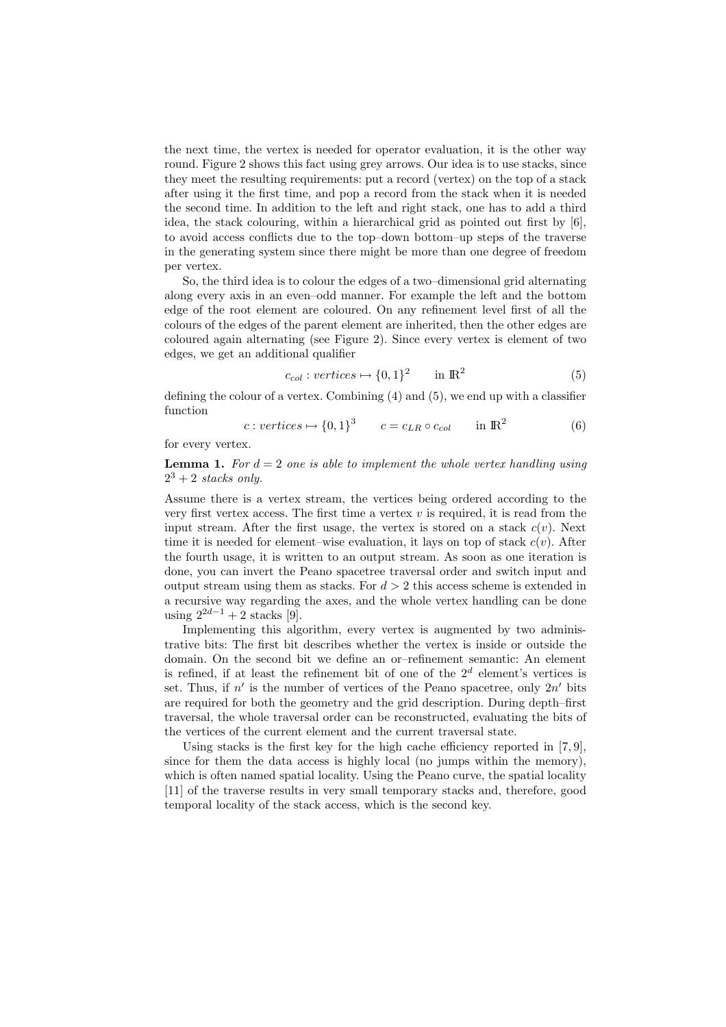the next time, the vertex is needed for operator evaluation, it is the other way round. Figure 2 shows this fact using grey arrows. Our idea is to use stacks, since they meet the resulting requirements: put a record (vertex) on the top of a stack after using it the first time, and pop a record from the stack when it is needed the second time. In addition to the left and right stack, one has to add a third idea, the stack colouring, within a hierarchical grid as pointed out first by [6], to avoid access conflicts due to the top–down bottom–up steps of the traverse in the generating system since there might be more than one degree of freedom per vertex.

So, the third idea is to colour the edges of a two–dimensional grid alternating along every axis in an even–odd manner. For example the left and the bottom edge of the root element are coloured. On any refinement level first of all the colours of the edges of the parent element are inherited, then the other edges are coloured again alternating (see Figure 2). Since every vertex is element of two edges, we get an additional qualifier

$$
c_{col}: vertices \mapsto \{0, 1\}^2 \qquad in \, \mathbb{R}^2 \tag{5}
$$

defining the colour of a vertex. Combining (4) and (5), we end up with a classifier function

$$
c: vertices \mapsto \{0,1\}^3 \qquad c = c_{LR} \circ c_{col} \qquad \text{in } \mathbb{R}^2 \tag{6}
$$

for every vertex.

**Lemma 1.** For  $d = 2$  one is able to implement the whole vertex handling using  $2^3 + 2$  stacks only.

Assume there is a vertex stream, the vertices being ordered according to the very first vertex access. The first time a vertex  $v$  is required, it is read from the input stream. After the first usage, the vertex is stored on a stack  $c(v)$ . Next time it is needed for element–wise evaluation, it lays on top of stack  $c(v)$ . After the fourth usage, it is written to an output stream. As soon as one iteration is done, you can invert the Peano spacetree traversal order and switch input and output stream using them as stacks. For  $d > 2$  this access scheme is extended in a recursive way regarding the axes, and the whole vertex handling can be done using  $2^{2d-1} + 2$  stacks [9].

Implementing this algorithm, every vertex is augmented by two administrative bits: The first bit describes whether the vertex is inside or outside the domain. On the second bit we define an or–refinement semantic: An element is refined, if at least the refinement bit of one of the  $2<sup>d</sup>$  element's vertices is set. Thus, if  $n'$  is the number of vertices of the Peano spacetree, only  $2n'$  bits are required for both the geometry and the grid description. During depth–first traversal, the whole traversal order can be reconstructed, evaluating the bits of the vertices of the current element and the current traversal state.

Using stacks is the first key for the high cache efficiency reported in [7,9], since for them the data access is highly local (no jumps within the memory), which is often named spatial locality. Using the Peano curve, the spatial locality [11] of the traverse results in very small temporary stacks and, therefore, good temporal locality of the stack access, which is the second key.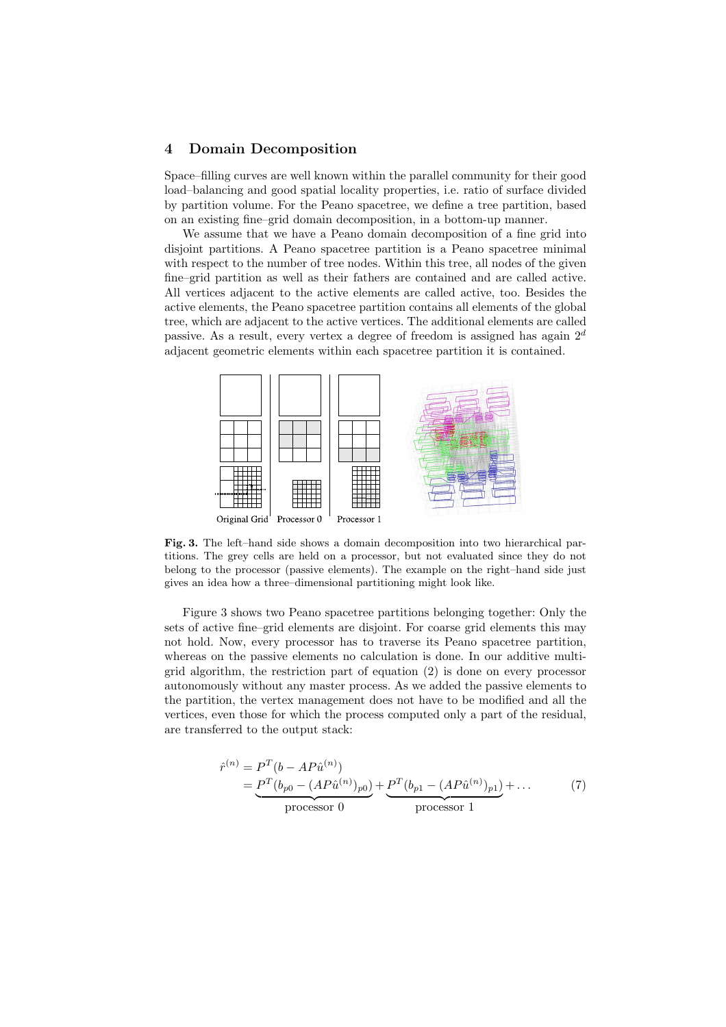### 4 Domain Decomposition

Space–filling curves are well known within the parallel community for their good load–balancing and good spatial locality properties, i.e. ratio of surface divided by partition volume. For the Peano spacetree, we define a tree partition, based on an existing fine–grid domain decomposition, in a bottom-up manner.

We assume that we have a Peano domain decomposition of a fine grid into disjoint partitions. A Peano spacetree partition is a Peano spacetree minimal with respect to the number of tree nodes. Within this tree, all nodes of the given fine–grid partition as well as their fathers are contained and are called active. All vertices adjacent to the active elements are called active, too. Besides the active elements, the Peano spacetree partition contains all elements of the global tree, which are adjacent to the active vertices. The additional elements are called passive. As a result, every vertex a degree of freedom is assigned has again  $2^d$ adjacent geometric elements within each spacetree partition it is contained.



Fig. 3. The left–hand side shows a domain decomposition into two hierarchical partitions. The grey cells are held on a processor, but not evaluated since they do not belong to the processor (passive elements). The example on the right–hand side just gives an idea how a three–dimensional partitioning might look like.

Figure 3 shows two Peano spacetree partitions belonging together: Only the sets of active fine–grid elements are disjoint. For coarse grid elements this may not hold. Now, every processor has to traverse its Peano spacetree partition, whereas on the passive elements no calculation is done. In our additive multigrid algorithm, the restriction part of equation (2) is done on every processor autonomously without any master process. As we added the passive elements to the partition, the vertex management does not have to be modified and all the vertices, even those for which the process computed only a part of the residual, are transferred to the output stack:

$$
\hat{r}^{(n)} = P^T(b - AP\hat{u}^{(n)})
$$
  
= 
$$
\underbrace{P^T(b_{p0} - (AP\hat{u}^{(n)})_{p0})}_{\text{processor 0}} + \underbrace{P^T(b_{p1} - (AP\hat{u}^{(n)})_{p1})}_{\text{processor 1}} + ...
$$
 (7)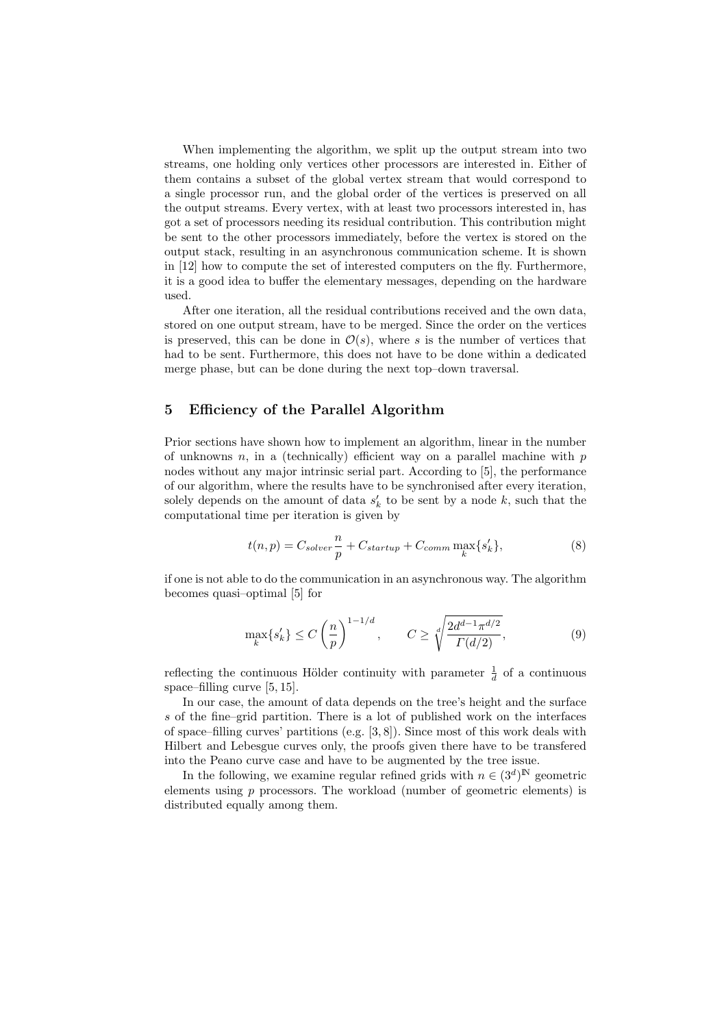When implementing the algorithm, we split up the output stream into two streams, one holding only vertices other processors are interested in. Either of them contains a subset of the global vertex stream that would correspond to a single processor run, and the global order of the vertices is preserved on all the output streams. Every vertex, with at least two processors interested in, has got a set of processors needing its residual contribution. This contribution might be sent to the other processors immediately, before the vertex is stored on the output stack, resulting in an asynchronous communication scheme. It is shown in [12] how to compute the set of interested computers on the fly. Furthermore, it is a good idea to buffer the elementary messages, depending on the hardware used.

After one iteration, all the residual contributions received and the own data, stored on one output stream, have to be merged. Since the order on the vertices is preserved, this can be done in  $\mathcal{O}(s)$ , where s is the number of vertices that had to be sent. Furthermore, this does not have to be done within a dedicated merge phase, but can be done during the next top–down traversal.

## 5 Efficiency of the Parallel Algorithm

Prior sections have shown how to implement an algorithm, linear in the number of unknowns  $n$ , in a (technically) efficient way on a parallel machine with  $p$ nodes without any major intrinsic serial part. According to [5], the performance of our algorithm, where the results have to be synchronised after every iteration, solely depends on the amount of data  $s'_{k}$  to be sent by a node  $k$ , such that the computational time per iteration is given by

$$
t(n,p) = C_{solver} \frac{n}{p} + C_{startup} + C_{comm} \max_{k} \{s'_{k}\},
$$
\n(8)

if one is not able to do the communication in an asynchronous way. The algorithm becomes quasi–optimal [5] for

$$
\max_{k} \{s'_{k}\} \le C \left(\frac{n}{p}\right)^{1-1/d}, \qquad C \ge \sqrt[d]{\frac{2d^{d-1}\pi^{d/2}}{\Gamma(d/2)}},\tag{9}
$$

reflecting the continuous Hölder continuity with parameter  $\frac{1}{d}$  of a continuous space–filling curve [5, 15].

In our case, the amount of data depends on the tree's height and the surface s of the fine–grid partition. There is a lot of published work on the interfaces of space–filling curves' partitions (e.g. [3, 8]). Since most of this work deals with Hilbert and Lebesgue curves only, the proofs given there have to be transfered into the Peano curve case and have to be augmented by the tree issue.

In the following, we examine regular refined grids with  $n \in (3^d)^{\mathbb{N}}$  geometric elements using p processors. The workload (number of geometric elements) is distributed equally among them.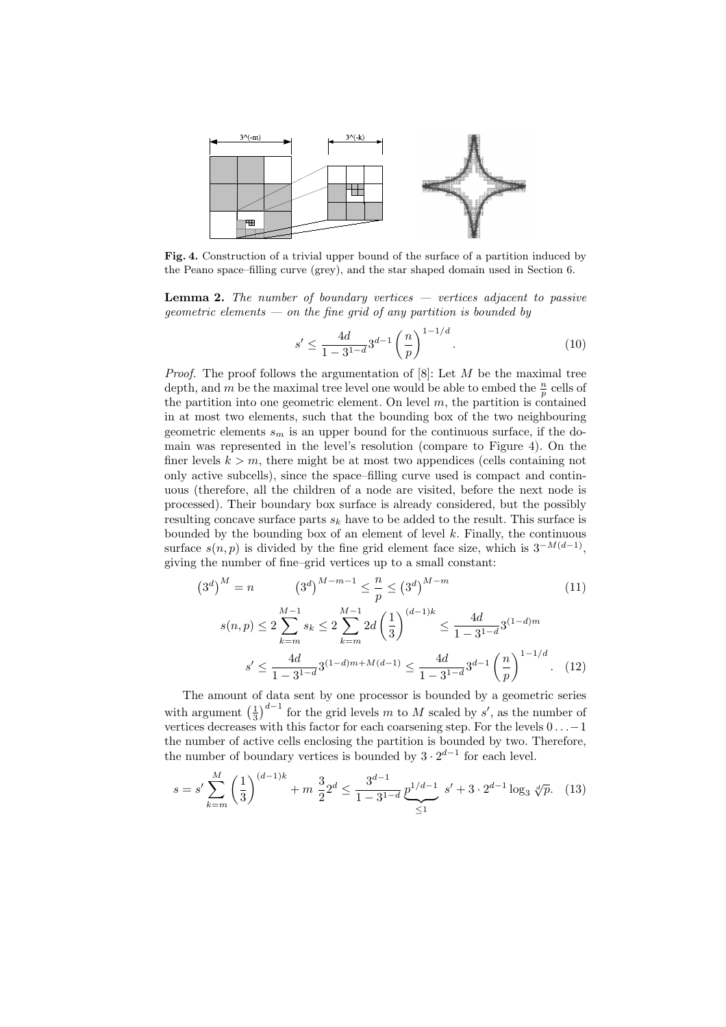

Fig. 4. Construction of a trivial upper bound of the surface of a partition induced by the Peano space–filling curve (grey), and the star shaped domain used in Section 6.

**Lemma 2.** The number of boundary vertices  $-$  vertices adjacent to passive geometric elements  $-$  on the fine grid of any partition is bounded by

$$
s' \le \frac{4d}{1 - 3^{1 - d}} 3^{d - 1} \left(\frac{n}{p}\right)^{1 - 1/d}.\tag{10}
$$

*Proof.* The proof follows the argumentation of  $[8]$ : Let M be the maximal tree depth, and m be the maximal tree level one would be able to embed the  $\frac{n}{p}$  cells of the partition into one geometric element. On level  $m$ , the partition is contained in at most two elements, such that the bounding box of the two neighbouring geometric elements  $s_m$  is an upper bound for the continuous surface, if the domain was represented in the level's resolution (compare to Figure 4). On the finer levels  $k > m$ , there might be at most two appendices (cells containing not only active subcells), since the space–filling curve used is compact and continuous (therefore, all the children of a node are visited, before the next node is processed). Their boundary box surface is already considered, but the possibly resulting concave surface parts  $s_k$  have to be added to the result. This surface is bounded by the bounding box of an element of level  $k$ . Finally, the continuous surface  $s(n, p)$  is divided by the fine grid element face size, which is  $3^{-M(d-1)}$ , giving the number of fine–grid vertices up to a small constant:

$$
(3d)M = n \t(3d)M-m-1 \le \frac{n}{p} \le (3d)M-m
$$
\n
$$
s(n,p) \le 2 \sum_{k=m}^{M-1} s_k \le 2 \sum_{k=m}^{M-1} 2d \left(\frac{1}{3}\right)^{(d-1)k} \le \frac{4d}{1-3^{1-d}} 3^{(1-d)m}
$$
\n
$$
s' \le \frac{4d}{1-3^{1-d}} 3^{(1-d)m+M(d-1)} \le \frac{4d}{1-3^{1-d}} 3^{d-1} \left(\frac{n}{p}\right)^{1-1/d}. \tag{12}
$$

The amount of data sent by one processor is bounded by a geometric series The amount  $\frac{1}{3}$ for the grid levels m to M scaled by s', as the number of vertices decreases with this factor for each coarsening step. For the levels  $0 \ldots -1$ the number of active cells enclosing the partition is bounded by two. Therefore, the number of boundary vertices is bounded by  $3 \cdot 2^{d-1}$  for each level.

$$
s = s' \sum_{k=m}^{M} \left(\frac{1}{3}\right)^{(d-1)k} + m \frac{3}{2} 2^d \le \frac{3^{d-1}}{1 - 3^{1-d}} \underbrace{p^{1/d-1}}_{\le 1} s' + 3 \cdot 2^{d-1} \log_3 \sqrt[d]{p}.
$$
 (13)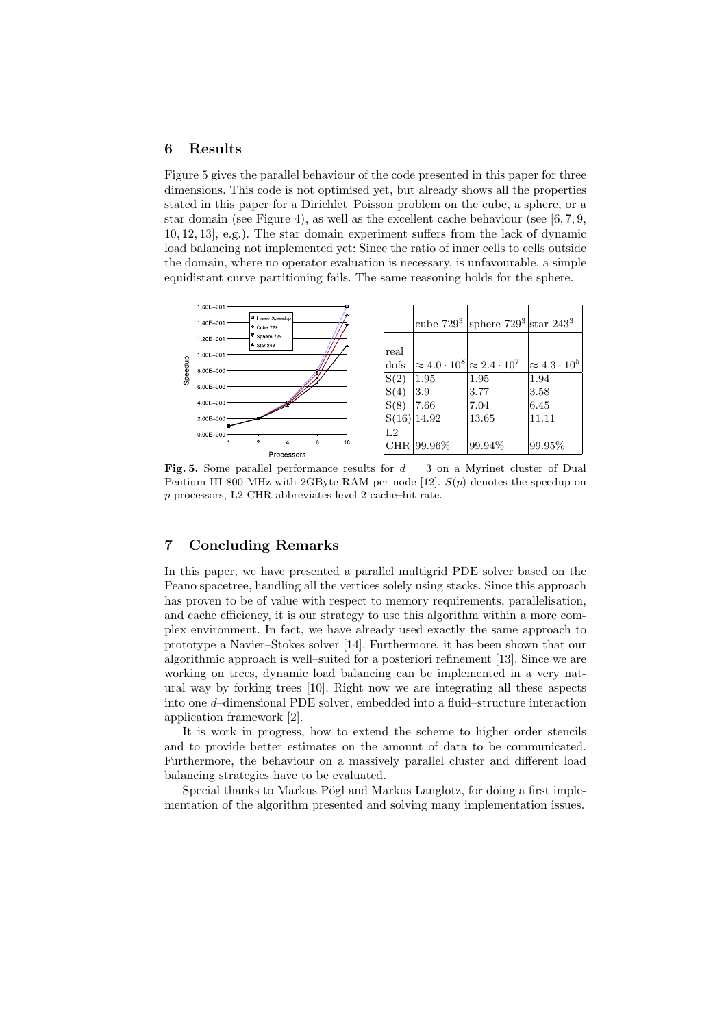## 6 Results

Figure 5 gives the parallel behaviour of the code presented in this paper for three dimensions. This code is not optimised yet, but already shows all the properties stated in this paper for a Dirichlet–Poisson problem on the cube, a sphere, or a star domain (see Figure 4), as well as the excellent cache behaviour (see [6, 7, 9, 10, 12, 13], e.g.). The star domain experiment suffers from the lack of dynamic load balancing not implemented yet: Since the ratio of inner cells to cells outside the domain, where no operator evaluation is necessary, is unfavourable, a simple equidistant curve partitioning fails. The same reasoning holds for the sphere.



Fig. 5. Some parallel performance results for  $d = 3$  on a Myrinet cluster of Dual Pentium III 800 MHz with 2GByte RAM per node  $[12]$ .  $S(p)$  denotes the speedup on p processors, L2 CHR abbreviates level 2 cache–hit rate.

## 7 Concluding Remarks

In this paper, we have presented a parallel multigrid PDE solver based on the Peano spacetree, handling all the vertices solely using stacks. Since this approach has proven to be of value with respect to memory requirements, parallelisation, and cache efficiency, it is our strategy to use this algorithm within a more complex environment. In fact, we have already used exactly the same approach to prototype a Navier–Stokes solver [14]. Furthermore, it has been shown that our algorithmic approach is well–suited for a posteriori refinement [13]. Since we are working on trees, dynamic load balancing can be implemented in a very natural way by forking trees [10]. Right now we are integrating all these aspects into one d–dimensional PDE solver, embedded into a fluid–structure interaction application framework [2].

It is work in progress, how to extend the scheme to higher order stencils and to provide better estimates on the amount of data to be communicated. Furthermore, the behaviour on a massively parallel cluster and different load balancing strategies have to be evaluated.

Special thanks to Markus Pögl and Markus Langlotz, for doing a first implementation of the algorithm presented and solving many implementation issues.